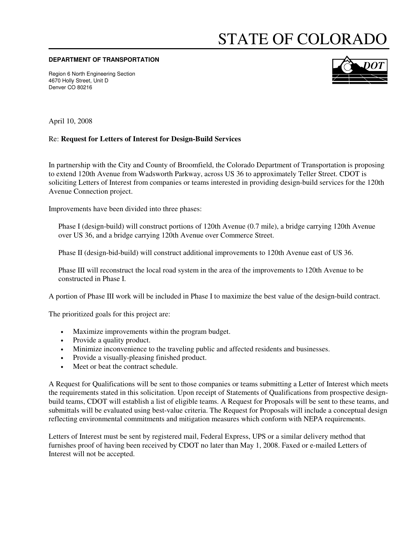## STATE OF COLORADO

## **DEPARTMENT OF TRANSPORTATION**

Region 6 North Engineering Section 4670 Holly Street, Unit D Denver CO 80216



April 10, 2008

## Re: **Request for Letters of Interest for Design-Build Services**

In partnership with the City and County of Broomfield, the Colorado Department of Transportation is proposing to extend 120th Avenue from Wadsworth Parkway, across US 36 to approximately Teller Street. CDOT is soliciting Letters of Interest from companies or teams interested in providing design-build services for the 120th Avenue Connection project.

Improvements have been divided into three phases:

Phase I (design-build) will construct portions of 120th Avenue (0.7 mile), a bridge carrying 120th Avenue over US 36, and a bridge carrying 120th Avenue over Commerce Street.

Phase II (design-bid-build) will construct additional improvements to 120th Avenue east of US 36.

Phase III will reconstruct the local road system in the area of the improvements to 120th Avenue to be constructed in Phase I.

A portion of Phase III work will be included in Phase I to maximize the best value of the design-build contract.

The prioritized goals for this project are:

- Maximize improvements within the program budget.
- Provide a quality product.
- Minimize inconvenience to the traveling public and affected residents and businesses.
- Provide a visually-pleasing finished product.
- Meet or beat the contract schedule.

A Request for Qualifications will be sent to those companies or teams submitting a Letter of Interest which meets the requirements stated in this solicitation. Upon receipt of Statements of Qualifications from prospective designbuild teams, CDOT will establish a list of eligible teams. A Request for Proposals will be sent to these teams, and submittals will be evaluated using best-value criteria. The Request for Proposals will include a conceptual design reflecting environmental commitments and mitigation measures which conform with NEPA requirements.

Letters of Interest must be sent by registered mail, Federal Express, UPS or a similar delivery method that furnishes proof of having been received by CDOT no later than May 1, 2008. Faxed or e-mailed Letters of Interest will not be accepted.